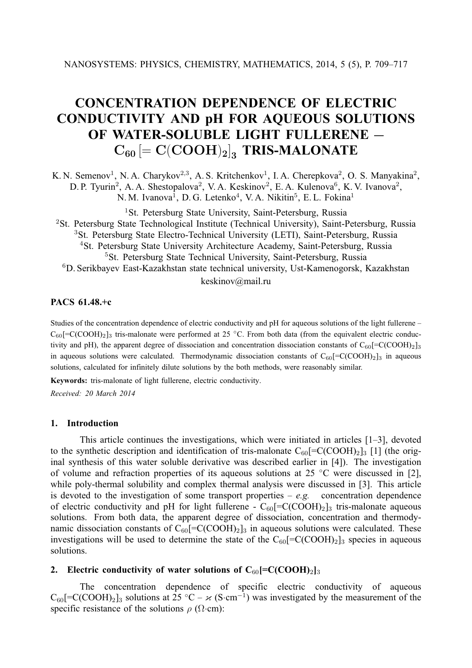# **CONCENTRATION DEPENDENCE OF ELECTRIC CONDUCTIVITY AND pH FOR AQUEOUS SOLUTIONS OF WATER-SOLUBLE LIGHT FULLERENE —**  $C_{60}$   $\left[ = \text{C}(\text{COOH})_2 \right]_3$  **TRIS-MALONATE**

K. N. Semenov<sup>1</sup>, N. A. Charykov<sup>2,3</sup>, A. S. Kritchenkov<sup>1</sup>, I. A. Cherepkova<sup>2</sup>, O. S. Manyakina<sup>2</sup>, D. P. Tyurin<sup>2</sup>, A. A. Shestopalova<sup>2</sup>, V. A. Keskinov<sup>2</sup>, E. A. Kulenova<sup>6</sup>, K. V. Ivanova<sup>2</sup>, N.M. Ivanova<sup>1</sup>, D.G. Letenko<sup>4</sup>, V.A. Nikitin<sup>5</sup>, E.L. Fokina<sup>1</sup>

<sup>1</sup>St. Petersburg State University, Saint-Petersburg, Russia <sup>2</sup>St. Petersburg State Technological Institute (Technical University), Saint-Petersburg, Russia <sup>3</sup>St. Petersburg State Electro-Technical University (LETI), Saint-Petersburg, Russia <sup>4</sup>St. Petersburg State University Architecture Academy, Saint-Petersburg, Russia <sup>5</sup>St. Petersburg State Technical University, Saint-Petersburg, Russia <sup>6</sup>D. Serikbayev East-Kazakhstan state technical university, Ust-Kamenogorsk, Kazakhstan

### keskinov@mail.ru

# **PACS 61.48.+c**

Studies of the concentration dependence of electric conductivity and pH for aqueous solutions of the light fullerene –  $C_{60}$ [=C(COOH)<sub>2</sub>]<sub>3</sub> tris-malonate were performed at 25 °C. From both data (from the equivalent electric conductivity and pH), the apparent degree of dissociation and concentration dissociation constants of  $C_{60}$ [=C(COOH)<sub>2</sub>]<sub>3</sub> in aqueous solutions were calculated. Thermodynamic dissociation constants of  $C_{60}$ [=C(COOH)<sub>2</sub>]<sub>3</sub> in aqueous solutions, calculated for infinitely dilute solutions by the both methods, were reasonably similar.

**Keywords:** tris-malonate of light fullerene, electric conductivity.

*Received: 20 March 2014*

#### **1. Introduction**

This article continues the investigations, which were initiated in articles [1–3], devoted to the synthetic description and identification of tris-malonate  $C_{60}$ [=C(COOH)<sub>2</sub>]<sub>3</sub> [1] (the original synthesis of this water soluble derivative was described earlier in [4]). The investigation of volume and refraction properties of its aqueous solutions at 25  $°C$  were discussed in [2], while poly-thermal solubility and complex thermal analysis were discussed in [3]. This article is devoted to the investigation of some transport properties  $-e.g.$  concentration dependence of electric conductivity and pH for light fullerene -  $C_{60}$ [=C(COOH)<sub>2</sub>]<sub>3</sub> tris-malonate aqueous solutions. From both data, the apparent degree of dissociation, concentration and thermodynamic dissociation constants of  $C_{60}$ [=C(COOH)<sub>2</sub>]<sub>3</sub> in aqueous solutions were calculated. These investigations will be used to determine the state of the  $C_{60}$ [=C(COOH)<sub>2</sub>]<sub>3</sub> species in aqueous solutions.

### **2.** Electric conductivity of water solutions of  $C_{60}$ [=C(COOH)<sub>2</sub>]<sub>3</sub>

The concentration dependence of specific electric conductivity of aqueous  $C_{60}$ [=C(COOH)<sub>2</sub>]<sub>3</sub> solutions at 25 °C –  $\varkappa$  (S·cm<sup>-1</sup>) was investigated by the measurement of the specific resistance of the solutions  $\rho$  ( $\Omega$ ·cm):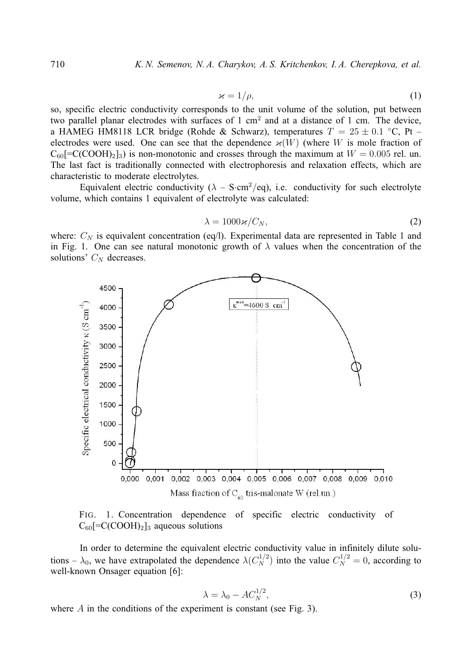$$
\varkappa = 1/\rho, \tag{1}
$$

so, specific electric conductivity corresponds to the unit volume of the solution, put between two parallel planar electrodes with surfaces of 1 cm<sup>2</sup> and at a distance of 1 cm. The device, a HAMEG HM8118 LCR bridge (Rohde & Schwarz), temperatures  $T = 25 \pm 0.1$  °C, Pt – electrodes were used. One can see that the dependence  $\varkappa(W)$  (where W is mole fraction of  $C_{60}$ [=C(COOH)<sub>2</sub>]<sub>3</sub>) is non-monotonic and crosses through the maximum at  $W = 0.005$  rel. un. The last fact is traditionally connected with electrophoresis and relaxation effects, which are characteristic to moderate electrolytes.

Equivalent electric conductivity ( $\lambda$  – S·cm<sup>2</sup>/eq), i.e. conductivity for such electrolyte volume, which contains 1 equivalent of electrolyte was calculated:

$$
\lambda = 1000 \varkappa / C_N, \tag{2}
$$

where:  $C_N$  is equivalent concentration (eq/l). Experimental data are represented in Table 1 and in Fig. 1. One can see natural monotonic growth of  $\lambda$  values when the concentration of the solutions'  $C_N$  decreases.





In order to determine the equivalent electric conductivity value in infinitely dilute solutions  $-\lambda_0$ , we have extrapolated the dependence  $\lambda(C_N^{1/2})$  into the value  $C_N^{1/2} = 0$ , according to well-known Onsager equation [6]:

$$
\lambda = \lambda_0 - AC_N^{1/2},\tag{3}
$$

where A in the conditions of the experiment is constant (see Fig. 3).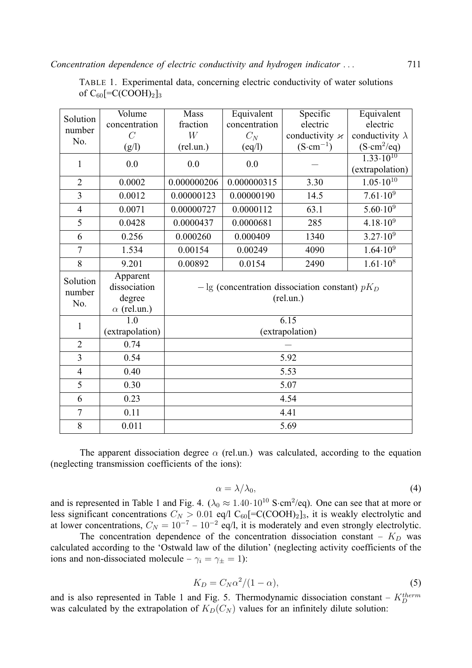| TABLE 1. Experimental data, concerning electric conductivity of water solutions |  |  |  |
|---------------------------------------------------------------------------------|--|--|--|
| of $C_{60}$ [=C(COOH) <sub>2</sub> ] <sub>3</sub>                               |  |  |  |

| Solution           | Volume             | Mass                                                | Equivalent      | Specific                 | Equivalent             |  |
|--------------------|--------------------|-----------------------------------------------------|-----------------|--------------------------|------------------------|--|
| number             | concentration      | fraction                                            | concentration   | electric                 | electric               |  |
| No.                | $\overline{C}$     | W                                                   | $C_N$           | conductivity $\varkappa$ | conductivity $\lambda$ |  |
|                    | (g/l)              | $(\text{rel.un.})$                                  | $\text{(eq/l)}$ | $(S\text{-}cm^{-1})$     | $(S\cdot cm^2/eq)$     |  |
| $\mathbf{1}$       | 0.0                | 0.0                                                 | 0.0             |                          | $1.33 \cdot 10^{10}$   |  |
|                    |                    |                                                     |                 |                          | (extrapolation)        |  |
| $\overline{2}$     | 0.0002             | 0.000000206                                         | 0.000000315     | 3.30                     | $1.05 \cdot 10^{10}$   |  |
| $\overline{3}$     | 0.0012             | 0.00000123                                          | 0.00000190      | 14.5                     | $7.61 \cdot 10^{9}$    |  |
| $\overline{4}$     | 0.0071             | 0.00000727                                          | 0.0000112       | 63.1                     | $5.60 \cdot 10^{9}$    |  |
| 5                  | 0.0428             | 0.0000437                                           | 0.0000681       | 285                      | $4.18 \cdot 10^{9}$    |  |
| 6                  | 0.256              | 0.000260                                            | 0.000409        | 1340                     | $3.27 \cdot 10^{9}$    |  |
| $\overline{7}$     | 1.534              | 0.00154                                             | 0.00249         | 4090                     | $1.64 \cdot 10^{9}$    |  |
| 8                  | 9.201              | 0.00892                                             | 0.0154          | 2490                     | $1.61 \cdot 10^8$      |  |
| Solution<br>number | Apparent           | $-\lg$ (concentration dissociation constant) $pK_D$ |                 |                          |                        |  |
|                    | dissociation       |                                                     |                 |                          |                        |  |
| No.                | degree             | (rel.un.)                                           |                 |                          |                        |  |
|                    | $\alpha$ (rel.un.) |                                                     |                 |                          |                        |  |
| $\mathbf{1}$       | $\overline{1.0}$   | 6.15                                                |                 |                          |                        |  |
|                    | (extrapolation)    | (extrapolation)                                     |                 |                          |                        |  |
| $\overline{2}$     | 0.74               |                                                     |                 |                          |                        |  |
| $\overline{3}$     | 0.54               | 5.92                                                |                 |                          |                        |  |
| $\overline{4}$     | 0.40               | 5.53                                                |                 |                          |                        |  |
| 5                  | 0.30               | 5.07                                                |                 |                          |                        |  |
| 6                  | 0.23               | 4.54                                                |                 |                          |                        |  |
| $\overline{7}$     | 0.11               | 4.41                                                |                 |                          |                        |  |
| 8                  | 0.011              | 5.69                                                |                 |                          |                        |  |

The apparent dissociation degree  $\alpha$  (rel.un.) was calculated, according to the equation (neglecting transmission coefficients of the ions):

$$
\alpha = \lambda/\lambda_0,\tag{4}
$$

and is represented in Table 1 and Fig. 4.  $(\lambda_0 \approx 1.40 \cdot 10^{10} \text{ S} \cdot \text{cm}^2/\text{eq})$ . One can see that at more or less significant concentrations  $C_N > 0.01$  eq/l C<sub>60</sub>[=C(COOH)<sub>2</sub>]<sub>3</sub>, it is weakly electrolytic and at lower concentrations,  $C_N = 10^{-7} - 10^{-2}$  eq/l, it is moderately and even strongly electrolytic.

The concentration dependence of the concentration dissociation constant –  $K_D$  was calculated according to the 'Ostwald law of the dilution' (neglecting activity coefficients of the ions and non-dissociated molecule –  $\gamma_i = \gamma_{\pm} = 1$ ):

$$
K_D = C_N \alpha^2 / (1 - \alpha),\tag{5}
$$

and is also represented in Table 1 and Fig. 5. Thermodynamic dissociation constant –  $K_D^{therm}$ was calculated by the extrapolation of  $K_D(C_N)$  values for an infinitely dilute solution: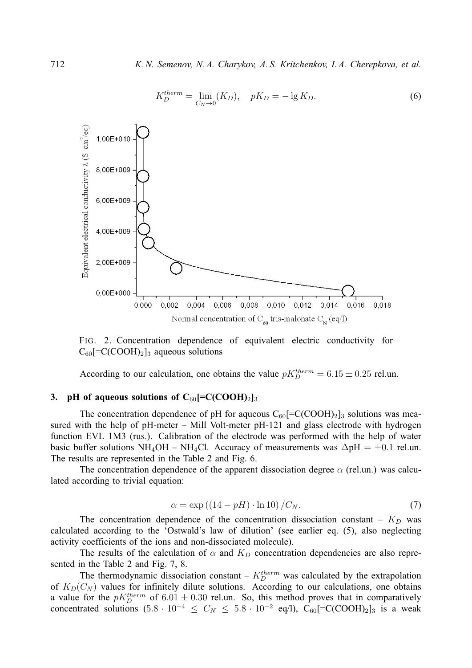

FIG. 2. Concentration dependence of equivalent electric conductivity for  $C_{60}$ [=C(COOH)<sub>2</sub>]<sub>3</sub> aqueous solutions

According to our calculation, one obtains the value  $pK_D^{therm} = 6.15 \pm 0.25$  rel.un.

## **3. pH** of aqueous solutions of  $C_{60}$ [=C(COOH)<sub>2</sub>]<sub>3</sub>

The concentration dependence of pH for aqueous  $C_{60}$ [=C(COOH)<sub>2</sub>]<sub>3</sub> solutions was measured with the help of pH-meter – Mill Volt-meter pH-121 and glass electrode with hydrogen function EVL 1M3 (rus.). Calibration of the electrode was performed with the help of water basic buffer solutions NH<sub>4</sub>OH – NH<sub>4</sub>Cl. Accuracy of measurements was  $\Delta pH = \pm 0.1$  rel.un. The results are represented in the Table 2 and Fig. 6.

The concentration dependence of the apparent dissociation degree  $\alpha$  (rel.un.) was calculated according to trivial equation:

$$
\alpha = \exp\left(\left(14 - pH\right) \cdot \ln 10\right) / C_N. \tag{7}
$$

The concentration dependence of the concentration dissociation constant –  $K_D$  was calculated according to the 'Ostwald's law of dilution' (see earlier eq. (5), also neglecting activity coefficients of the ions and non-dissociated molecule).

The results of the calculation of  $\alpha$  and  $K_D$  concentration dependencies are also represented in the Table 2 and Fig. 7, 8.

The thermodynamic dissociation constant –  $K_D^{therm}$  was calculated by the extrapolation of  $K_D(C_N)$  values for infinitely dilute solutions. According to our calculations, one obtains a value for the  $pK_D^{therm}$  of 6.01  $\pm$  0.30 rel.un. So, this method proves that in comparatively concentrated solutions  $(5.8 \cdot 10^{-4} \le C_N \le 5.8 \cdot 10^{-2} \text{ eq/l})$ ,  $C_{60}$ [=C(COOH)<sub>2</sub>]<sub>3</sub> is a weak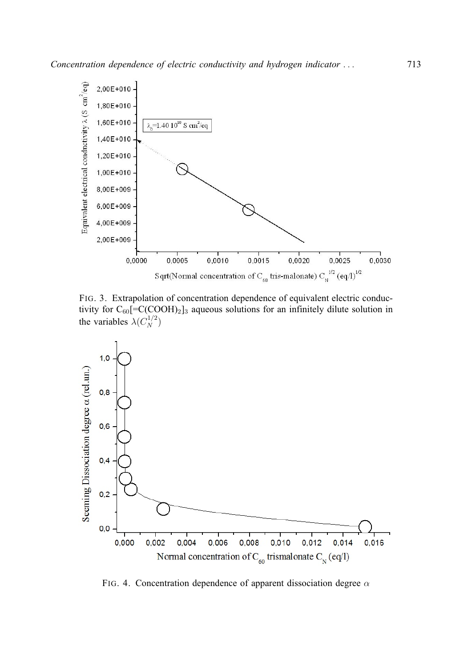

FIG. 3. Extrapolation of concentration dependence of equivalent electric conductivity for  $C_{60}$ [=C(COOH)<sub>2</sub>]<sub>3</sub> aqueous solutions for an infinitely dilute solution in the variables  $\lambda(C_N^{1/2})$ 



FIG. 4. Concentration dependence of apparent dissociation degree  $\alpha$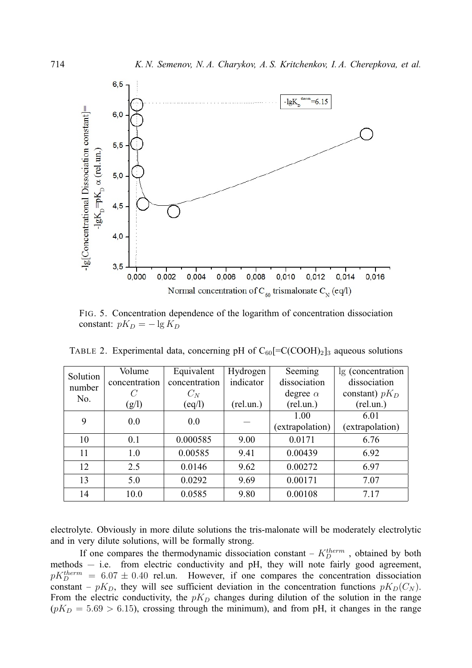

FIG. 5. Concentration dependence of the logarithm of concentration dissociation constant:  $pK_D = -\lg K_D$ 

| Solution | Volume        | Equivalent    | Hydrogen  | Seeming         | lg (concentration |
|----------|---------------|---------------|-----------|-----------------|-------------------|
| number   | concentration | concentration | indicator | dissociation    | dissociation      |
| No.      |               | $C_N$         |           | degree $\alpha$ | constant) $pK_D$  |
|          | (g/l)         | (eq/l)        | (rel.un.) | (rel.un.)       | (rel.un.)         |
| 9        | 0.0           | 0.0           |           | 1.00            | 6.01              |
|          |               |               |           | (extrapolation) | (extrapolation)   |
| 10       | 0.1           | 0.000585      | 9.00      | 0.0171          | 6.76              |
| 11       | 1.0           | 0.00585       | 9.41      | 0.00439         | 6.92              |
| 12       | 2.5           | 0.0146        | 9.62      | 0.00272         | 6.97              |
| 13       | 5.0           | 0.0292        | 9.69      | 0.00171         | 7.07              |
| 14       | 10.0          | 0.0585        | 9.80      | 0.00108         | 7.17              |

TABLE 2. Experimental data, concerning pH of  $C_{60}$ [=C(COOH)<sub>2</sub>]<sub>3</sub> aqueous solutions

electrolyte. Obviously in more dilute solutions the tris-malonate will be moderately electrolytic and in very dilute solutions, will be formally strong.

If one compares the thermodynamic dissociation constant –  $K_D^{therm}$ , obtained by both methods — i.e. from electric conductivity and pH, they will note fairly good agreement,  $pK_D^{therm} = 6.07 \pm 0.40$  rel.un. However, if one compares the concentration dissociation constant –  $pK_D$ , they will see sufficient deviation in the concentration functions  $pK_D(C_N)$ . From the electric conductivity, the  $pK_D$  changes during dilution of the solution in the range  $(pK_D = 5.69 > 6.15)$ , crossing through the minimum), and from pH, it changes in the range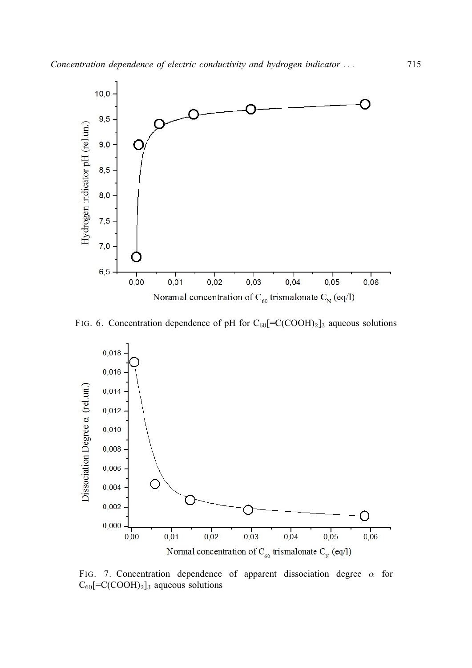

FIG. 6. Concentration dependence of pH for  $C_{60}$ [=C(COOH)<sub>2</sub>]<sub>3</sub> aqueous solutions



FIG. 7. Concentration dependence of apparent dissociation degree  $\alpha$  for  $C_{60}$ [=C(COOH)<sub>2</sub>]<sub>3</sub> aqueous solutions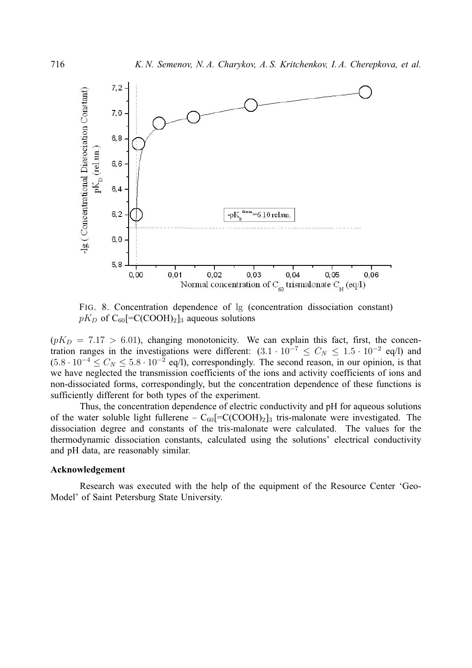

FIG. 8. Concentration dependence of lg (concentration dissociation constant)  $pK_D$  of C<sub>60</sub>[=C(COOH)<sub>2</sub>]<sub>3</sub> aqueous solutions

 $(pK_D = 7.17 > 6.01)$ , changing monotonicity. We can explain this fact, first, the concentration ranges in the investigations were different:  $(3.1 \cdot 10^{-7} \le C_N \le 1.5 \cdot 10^{-2}$  eq/l) and  $(5.8 \cdot 10^{-4} \le C_N \le 5.8 \cdot 10^{-2}$  eq/l), correspondingly. The second reason, in our opinion, is that we have neglected the transmission coefficients of the ions and activity coefficients of ions and non-dissociated forms, correspondingly, but the concentration dependence of these functions is sufficiently different for both types of the experiment.

Thus, the concentration dependence of electric conductivity and pH for aqueous solutions of the water soluble light fullerene –  $C_{60}$ [=C(COOH)<sub>2</sub>]<sub>3</sub> tris-malonate were investigated. The dissociation degree and constants of the tris-malonate were calculated. The values for the thermodynamic dissociation constants, calculated using the solutions' electrical conductivity and pH data, are reasonably similar.

#### **Acknowledgement**

Research was executed with the help of the equipment of the Resource Center 'Geo-Model' of Saint Petersburg State University.